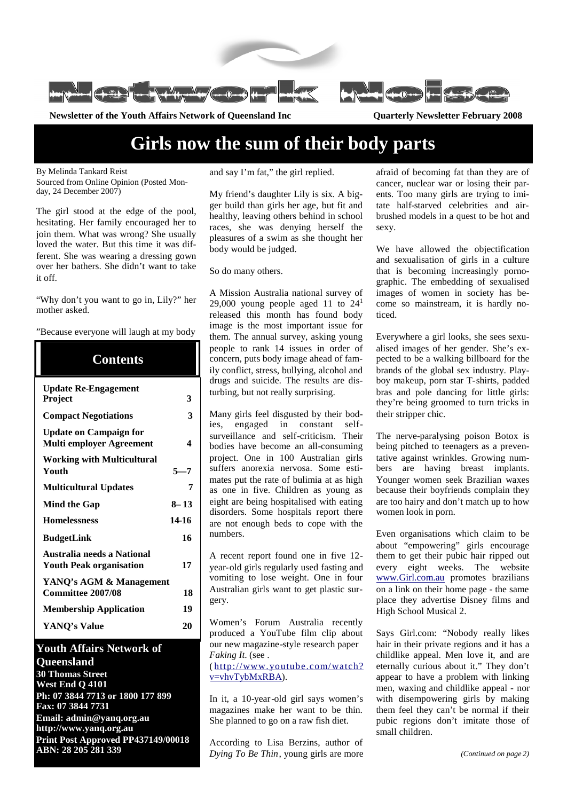

**Newsletter of the Youth Affairs Network of Queensland Inc Quarterly Newsletter February 2008**

# **Girls now the sum of their body parts**

By Melinda Tankard Reist

Sourced from Online Opinion (Posted Monday, 24 December 2007)

The girl stood at the edge of the pool, hesitating. Her family encouraged her to join them. What was wrong? She usually loved the water. But this time it was different. She was wearing a dressing gown over her bathers. She didn't want to take it off.

"Why don't you want to go in, Lily?" her mother asked.

#### "Because everyone will laugh at my body

| <b>Contents</b>                                                  |          |
|------------------------------------------------------------------|----------|
| <b>Update Re-Engagement</b><br>Project                           | 3        |
| <b>Compact Negotiations</b>                                      | 3        |
| <b>Update on Campaign for</b><br><b>Multi employer Agreement</b> | 4        |
| <b>Working with Multicultural</b><br>Youth                       | $5 - 7$  |
| <b>Multicultural Updates</b>                                     | 7        |
| <b>Mind the Gap</b>                                              | $8 - 13$ |
| <b>Homelessness</b>                                              | 14-16    |
| <b>BudgetLink</b>                                                | 16       |
| Australia needs a National<br><b>Youth Peak organisation</b>     | 17       |
| YANQ's AGM & Management<br><b>Committee 2007/08</b>              | 18       |
| <b>Membership Application</b>                                    | 19       |
| YANQ's Value                                                     | 20       |

#### **Youth Affairs Network of Queensland**

**30 Thomas Street West End Q 4101 Ph: 07 3844 7713 or 1800 177 899 Fax: 07 3844 7731 Email: admin@yanq.org.au http://www.yanq.org.au Print Post Approved PP437149/00018 ABN: 28 205 281 339**

and say I'm fat," the girl replied.

My friend's daughter Lily is six. A bigger build than girls her age, but fit and healthy, leaving others behind in school races, she was denying herself the pleasures of a swim as she thought her body would be judged.

So do many others.

A Mission Australia national survey of 29,000 young people aged 11 to  $24<sup>1</sup>$ released this month has found body image is the most important issue for them. The annual survey, asking young people to rank 14 issues in order of concern, puts body image ahead of family conflict, stress, bullying, alcohol and drugs and suicide. The results are disturbing, but not really surprising.

Many girls feel disgusted by their bodies, engaged in constant selfsurveillance and self-criticism. Their bodies have become an all-consuming project. One in 100 Australian girls suffers anorexia nervosa. Some estimates put the rate of bulimia at as high as one in five. Children as young as eight are being hospitalised with eating disorders. Some hospitals report there are not enough beds to cope with the numbers.

A recent report found one in five 12 year-old girls regularly used fasting and vomiting to lose weight. One in four Australian girls want to get plastic surgery.

Women's Forum Australia recently produced a YouTube film clip about our new magazine-style research paper *Faking It*. (see . ( http://www.youtube.com/watch?

v=vhvTybMxRBA).

In it, a 10-year-old girl says women's magazines make her want to be thin. She planned to go on a raw fish diet.

According to Lisa Berzins, author of *Dying To Be Thin*, young girls are more afraid of becoming fat than they are of cancer, nuclear war or losing their parents. Too many girls are trying to imitate half-starved celebrities and airbrushed models in a quest to be hot and sexy.

We have allowed the objectification and sexualisation of girls in a culture that is becoming increasingly pornographic. The embedding of sexualised images of women in society has become so mainstream, it is hardly noticed.

Everywhere a girl looks, she sees sexualised images of her gender. She's expected to be a walking billboard for the brands of the global sex industry. Playboy makeup, porn star T-shirts, padded bras and pole dancing for little girls: they're being groomed to turn tricks in their stripper chic.

The nerve-paralysing poison Botox is being pitched to teenagers as a preventative against wrinkles. Growing numbers are having breast implants. Younger women seek Brazilian waxes because their boyfriends complain they are too hairy and don't match up to how women look in porn.

Even organisations which claim to be about "empowering" girls encourage them to get their pubic hair ripped out every eight weeks. The website www.Girl.com.au promotes brazilians on a link on their home page - the same place they advertise Disney films and High School Musical 2.

Says Girl.com: "Nobody really likes hair in their private regions and it has a childlike appeal. Men love it, and are eternally curious about it." They don't appear to have a problem with linking men, waxing and childlike appeal - nor with disempowering girls by making them feel they can't be normal if their pubic regions don't imitate those of small children.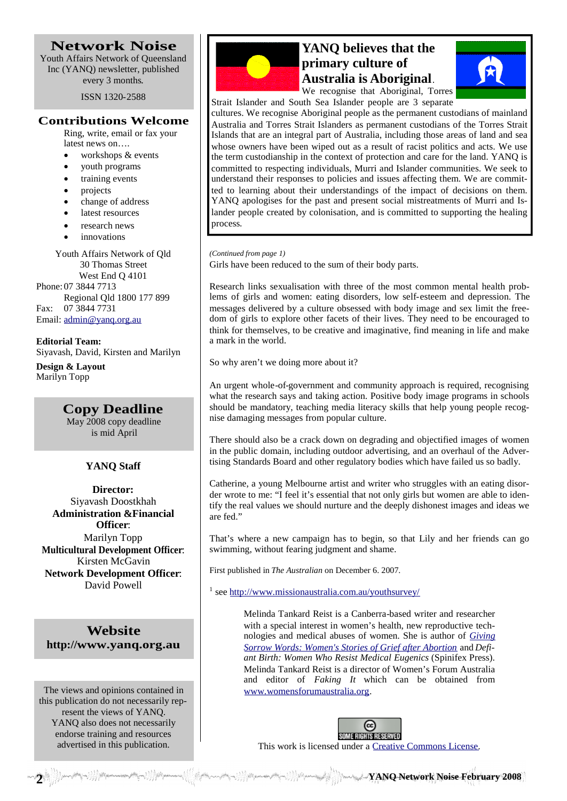#### **Network Noise** Youth Affairs Network of Queensland

Inc (YANQ) newsletter, published every 3 months.

ISSN 1320-2588

#### **Contributions Welcome**

Ring, write, email or fax your latest news on….

- workshops & events
- youth programs
- training events
- projects
- change of address
- latest resources
- research news
- innovations

Youth Affairs Network of Qld 30 Thomas Street West End Q 4101 Phone: 07 3844 7713 Regional Qld 1800 177 899 Fax: 07 3844 7731 Email: admin@yanq.org.au

**Editorial Team:** Siyavash, David, Kirsten and Marilyn

**Design & Layout** Marilyn Topp

> **Copy Deadline** May 2008 copy deadline is mid April

#### **YANQ Staff**

**Director:** Siyavash Doostkhah **Administration &Financial Officer**: Marilyn Topp **Multicultural Development Officer**: Kirsten McGavin **Network Development Officer**: David Powell

**Website http://www.yanq.org.au**

The views and opinions contained in this publication do not necessarily represent the views of YANQ. YANQ also does not necessarily endorse training and resources advertised in this publication.



## **YANQ believes that the primary culture of Australia is Aboriginal**.





cultures. We recognise Aboriginal people as the permanent custodians of mainland Australia and Torres Strait Islanders as permanent custodians of the Torres Strait Islands that are an integral part of Australia, including those areas of land and sea whose owners have been wiped out as a result of racist politics and acts. We use the term custodianship in the context of protection and care for the land. YANQ is committed to respecting individuals, Murri and Islander communities. We seek to understand their responses to policies and issues affecting them. We are committed to learning about their understandings of the impact of decisions on them. YANQ apologises for the past and present social mistreatments of Murri and Islander people created by colonisation, and is committed to supporting the healing process.

Girls have been reduced to the sum of their body parts. *(Continued from page 1)*

Research links sexualisation with three of the most common mental health problems of girls and women: eating disorders, low self-esteem and depression. The messages delivered by a culture obsessed with body image and sex limit the freedom of girls to explore other facets of their lives. They need to be encouraged to think for themselves, to be creative and imaginative, find meaning in life and make a mark in the world.

So why aren't we doing more about it?

An urgent whole-of-government and community approach is required, recognising what the research says and taking action. Positive body image programs in schools should be mandatory, teaching media literacy skills that help young people recognise damaging messages from popular culture.

There should also be a crack down on degrading and objectified images of women in the public domain, including outdoor advertising, and an overhaul of the Advertising Standards Board and other regulatory bodies which have failed us so badly.

Catherine, a young Melbourne artist and writer who struggles with an eating disorder wrote to me: "I feel it's essential that not only girls but women are able to identify the real values we should nurture and the deeply dishonest images and ideas we are fed."

That's where a new campaign has to begin, so that Lily and her friends can go swimming, without fearing judgment and shame.

First published in *The Australian* on December 6. 2007.

<sup>1</sup> see http://www.missionaustralia.com.au/youthsurvey/

Melinda Tankard Reist is a Canberra-based writer and researcher with a special interest in women's health, new reproductive technologies and medical abuses of women. She is author of *Giving Sorrow Words: Women's Stories of Grief after Abortion* and *Defiant Birth: Women Who Resist Medical Eugenics* (Spinifex Press). Melinda Tankard Reist is a director of Women's Forum Australia and editor of *Faking It* which can be obtained from www.womensforumaustralia.org.



This work is licensed under a Creative Commons License.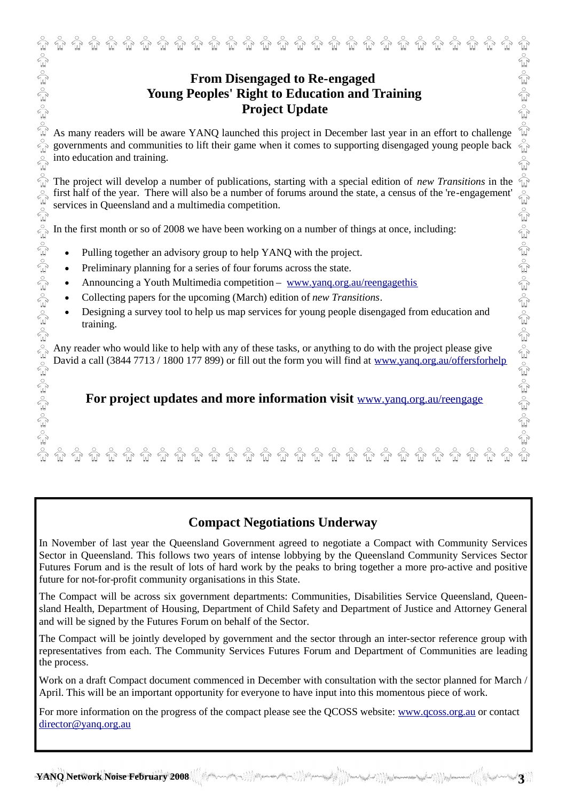As many readers will be aware YANQ launched this project in December last year in an effort to challenge **Example 19 Solution and Training**<br> **Example 2018 19 Solution and Training**<br> **Example 2019 19 Solution and Training**<br>
As many readers will be aware YANQ lannehed this project in December last year in an effort to challeng into education and training.

The project will develop a number of publications, starting with a special edition of *new Transitions* in the first half of the year. There will also be a number of forums around the state, a census of the 're-engagement' services in Queensland and a multimedia competition.

In the first month or so of 2008 we have been working on a number of things at once, including:

- Pulling together an advisory group to help YANQ with the project.
- Preliminary planning for a series of four forums across the state.
- Announcing a Youth Multimedia competition www.yang.org.au/reengagethis
- Collecting papers for the upcoming (March) edition of *new Transitions*.
- Designing a survey tool to help us map services for young people disengaged from education and training.

Any reader who would like to help with any of these tasks, or anything to do with the project please give David a call (3844 7713 / 1800 177 899) or fill out the form you will find at www.yanq.org.au/offersforhelp

**For project updates and more information visit** www.yanq.org.au/reengage

## **Compact Negotiations Underway**

In November of last year the Queensland Government agreed to negotiate a Compact with Community Services Sector in Queensland. This follows two years of intense lobbying by the Queensland Community Services Sector Futures Forum and is the result of lots of hard work by the peaks to bring together a more pro-active and positive future for not-for-profit community organisations in this State.

The Compact will be across six government departments: Communities, Disabilities Service Queensland, Queensland Health, Department of Housing, Department of Child Safety and Department of Justice and Attorney General and will be signed by the Futures Forum on behalf of the Sector.

The Compact will be jointly developed by government and the sector through an inter-sector reference group with representatives from each. The Community Services Futures Forum and Department of Communities are leading the process.

Work on a draft Compact document commenced in December with consultation with the sector planned for March / April. This will be an important opportunity for everyone to have input into this momentous piece of work.

For more information on the progress of the compact please see the QCOSS website: www.qcoss.org.au or contact director@yang.org.au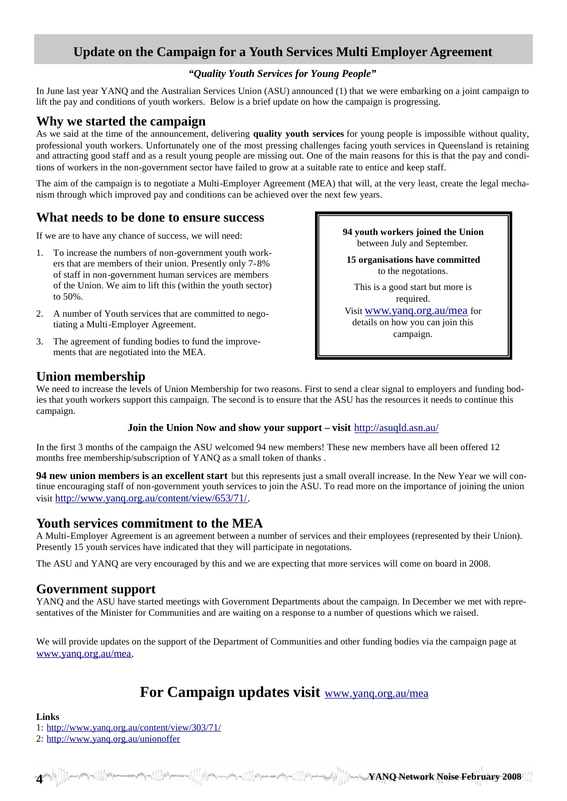## **Update on the Campaign for a Youth Services Multi Employer Agreement**

#### *"Quality Youth Services for Young People"*

In June last year YANQ and the Australian Services Union (ASU) announced (1) that we were embarking on a joint campaign to lift the pay and conditions of youth workers. Below is a brief update on how the campaign is progressing.

### **Why we started the campaign**

As we said at the time of the announcement, delivering **quality youth services** for young people is impossible without quality, professional youth workers. Unfortunately one of the most pressing challenges facing youth services in Queensland is retaining and attracting good staff and as a result young people are missing out. One of the main reasons for this is that the pay and conditions of workers in the non-government sector have failed to grow at a suitable rate to entice and keep staff.

The aim of the campaign is to negotiate a Multi-Employer Agreement (MEA) that will, at the very least, create the legal mechanism through which improved pay and conditions can be achieved over the next few years.

## **What needs to be done to ensure success**

If we are to have any chance of success, we will need:

- 1. To increase the numbers of non-government youth workers that are members of their union. Presently only 7-8% of staff in non-government human services are members of the Union. We aim to lift this (within the youth sector) to 50%.
- 2. A number of Youth services that are committed to negotiating a Multi-Employer Agreement.
- 3. The agreement of funding bodies to fund the improvements that are negotiated into the MEA.

**94 youth workers joined the Union** between July and September.

**15 organisations have committed** to the negotations.

This is a good start but more is required.

Visit www.yanq.org.au/mea for details on how you can join this campaign.

## **Union membership**

We need to increase the levels of Union Membership for two reasons. First to send a clear signal to employers and funding bodies that youth workers support this campaign. The second is to ensure that the ASU has the resources it needs to continue this campaign.

#### **Join the Union Now and show your support – visit** http://asuqld.asn.au/

In the first 3 months of the campaign the ASU welcomed 94 new members! These new members have all been offered 12 months free membership/subscription of YANQ as a small token of thanks .

**94 new union members is an excellent start** but this represents just a small overall increase. In the New Year we will continue encouraging staff of non-government youth services to join the ASU. To read more on the importance of joining the union visit http://www.yanq.org.au/content/view/653/71/.

## **Youth services commitment to the MEA**

A Multi-Employer Agreement is an agreement between a number of services and their employees (represented by their Union). Presently 15 youth services have indicated that they will participate in negotations.

The ASU and YANQ are very encouraged by this and we are expecting that more services will come on board in 2008.

### **Government support**

YANQ and the ASU have started meetings with Government Departments about the campaign. In December we met with representatives of the Minister for Communities and are waiting on a response to a number of questions which we raised.

We will provide updates on the support of the Department of Communities and other funding bodies via the campaign page at www.yanq.org.au/mea.

## **For Campaign updates visit** www.yanq.org.au/mea

**Links** 1: http://www.yanq.org.au/content/view/303/71/

2: http://www.yanq.org.au/unionoffer

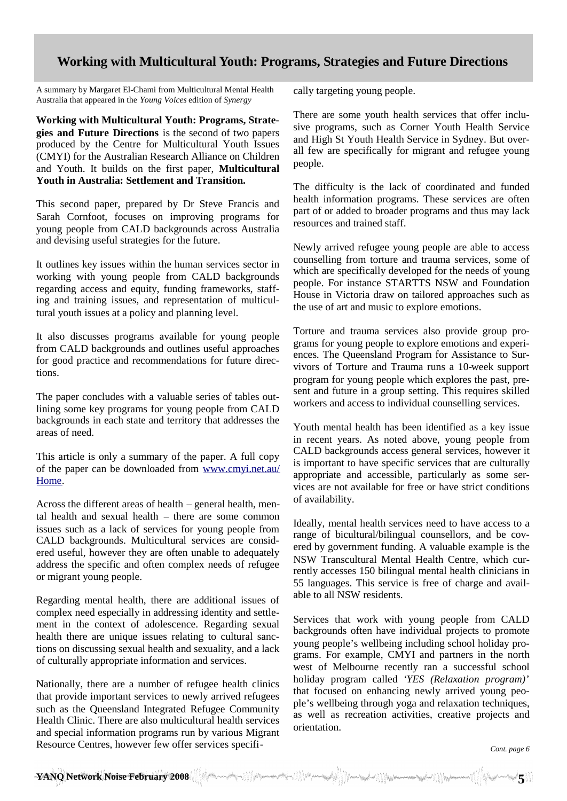## **Working with Multicultural Youth: Programs, Strategies and Future Directions**

A summary by Margaret El-Chami from Multicultural Mental Health Australia that appeared in the *Young Voices* edition of *Synergy*

**Working with Multicultural Youth: Programs, Strategies and Future Directions** is the second of two papers produced by the Centre for Multicultural Youth Issues (CMYI) for the Australian Research Alliance on Children and Youth. It builds on the first paper, **Multicultural Youth in Australia: Settlement and Transition.**

This second paper, prepared by Dr Steve Francis and Sarah Cornfoot, focuses on improving programs for young people from CALD backgrounds across Australia and devising useful strategies for the future.

It outlines key issues within the human services sector in working with young people from CALD backgrounds regarding access and equity, funding frameworks, staffing and training issues, and representation of multicultural youth issues at a policy and planning level.

It also discusses programs available for young people from CALD backgrounds and outlines useful approaches for good practice and recommendations for future directions.

The paper concludes with a valuable series of tables outlining some key programs for young people from CALD backgrounds in each state and territory that addresses the areas of need.

This article is only a summary of the paper. A full copy of the paper can be downloaded from www.cmyi.net.au/ Home.

Across the different areas of health – general health, mental health and sexual health – there are some common issues such as a lack of services for young people from CALD backgrounds. Multicultural services are considered useful, however they are often unable to adequately address the specific and often complex needs of refugee or migrant young people.

Regarding mental health, there are additional issues of complex need especially in addressing identity and settlement in the context of adolescence. Regarding sexual health there are unique issues relating to cultural sanctions on discussing sexual health and sexuality, and a lack of culturally appropriate information and services.

Nationally, there are a number of refugee health clinics that provide important services to newly arrived refugees such as the Queensland Integrated Refugee Community Health Clinic. There are also multicultural health services and special information programs run by various Migrant Resource Centres, however few offer services specifically targeting young people.

There are some youth health services that offer inclusive programs, such as Corner Youth Health Service and High St Youth Health Service in Sydney. But overall few are specifically for migrant and refugee young people.

The difficulty is the lack of coordinated and funded health information programs. These services are often part of or added to broader programs and thus may lack resources and trained staff.

Newly arrived refugee young people are able to access counselling from torture and trauma services, some of which are specifically developed for the needs of young people. For instance STARTTS NSW and Foundation House in Victoria draw on tailored approaches such as the use of art and music to explore emotions.

Torture and trauma services also provide group programs for young people to explore emotions and experiences. The Queensland Program for Assistance to Survivors of Torture and Trauma runs a 10-week support program for young people which explores the past, present and future in a group setting. This requires skilled workers and access to individual counselling services.

Youth mental health has been identified as a key issue in recent years. As noted above, young people from CALD backgrounds access general services, however it is important to have specific services that are culturally appropriate and accessible, particularly as some services are not available for free or have strict conditions of availability.

Ideally, mental health services need to have access to a range of bicultural/bilingual counsellors, and be covered by government funding. A valuable example is the NSW Transcultural Mental Health Centre, which currently accesses 150 bilingual mental health clinicians in 55 languages. This service is free of charge and available to all NSW residents.

Services that work with young people from CALD backgrounds often have individual projects to promote young people's wellbeing including school holiday programs. For example, CMYI and partners in the north west of Melbourne recently ran a successful school holiday program called '*YES (Relaxation program)'* that focused on enhancing newly arrived young people's wellbeing through yoga and relaxation techniques, as well as recreation activities, creative projects and orientation.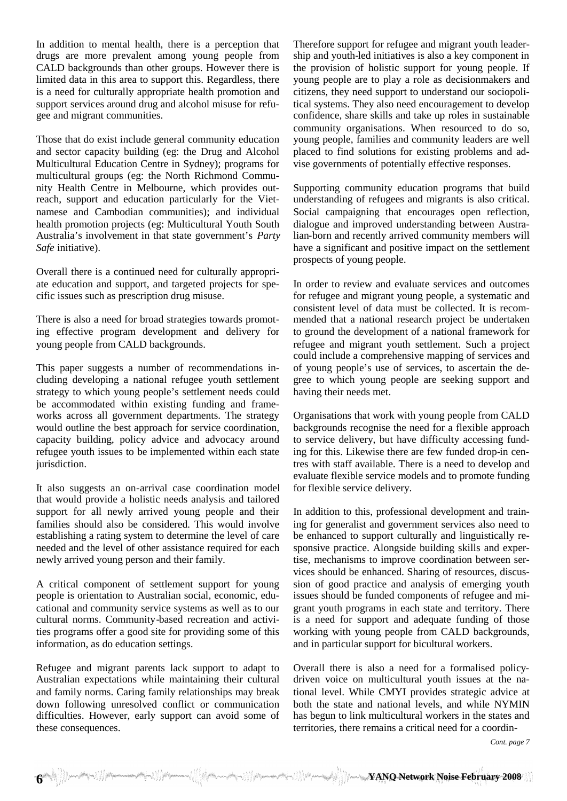In addition to mental health, there is a perception that drugs are more prevalent among young people from CALD backgrounds than other groups. However there is limited data in this area to support this. Regardless, there is a need for culturally appropriate health promotion and support services around drug and alcohol misuse for refugee and migrant communities.

Those that do exist include general community education and sector capacity building (eg: the Drug and Alcohol Multicultural Education Centre in Sydney); programs for multicultural groups (eg: the North Richmond Community Health Centre in Melbourne, which provides outreach, support and education particularly for the Vietnamese and Cambodian communities); and individual health promotion projects (eg: Multicultural Youth South Australia's involvement in that state government's *Party Safe* initiative).

Overall there is a continued need for culturally appropriate education and support, and targeted projects for specific issues such as prescription drug misuse.

There is also a need for broad strategies towards promoting effective program development and delivery for young people from CALD backgrounds.

This paper suggests a number of recommendations including developing a national refugee youth settlement strategy to which young people's settlement needs could be accommodated within existing funding and frameworks across all government departments. The strategy would outline the best approach for service coordination, capacity building, policy advice and advocacy around refugee youth issues to be implemented within each state jurisdiction.

It also suggests an on-arrival case coordination model that would provide a holistic needs analysis and tailored support for all newly arrived young people and their families should also be considered. This would involve establishing a rating system to determine the level of care needed and the level of other assistance required for each newly arrived young person and their family.

A critical component of settlement support for young people is orientation to Australian social, economic, educational and community service systems as well as to our cultural norms. Community-based recreation and activities programs offer a good site for providing some of this information, as do education settings.

Refugee and migrant parents lack support to adapt to Australian expectations while maintaining their cultural and family norms. Caring family relationships may break down following unresolved conflict or communication difficulties. However, early support can avoid some of these consequences.

Therefore support for refugee and migrant youth leadership and youth-led initiatives is also a key component in the provision of holistic support for young people. If young people are to play a role as decisionmakers and citizens, they need support to understand our sociopolitical systems. They also need encouragement to develop confidence, share skills and take up roles in sustainable community organisations. When resourced to do so, young people, families and community leaders are well placed to find solutions for existing problems and advise governments of potentially effective responses.

Supporting community education programs that build understanding of refugees and migrants is also critical. Social campaigning that encourages open reflection, dialogue and improved understanding between Australian-born and recently arrived community members will have a significant and positive impact on the settlement prospects of young people.

In order to review and evaluate services and outcomes for refugee and migrant young people, a systematic and consistent level of data must be collected. It is recommended that a national research project be undertaken to ground the development of a national framework for refugee and migrant youth settlement. Such a project could include a comprehensive mapping of services and of young people's use of services, to ascertain the degree to which young people are seeking support and having their needs met.

Organisations that work with young people from CALD backgrounds recognise the need for a flexible approach to service delivery, but have difficulty accessing funding for this. Likewise there are few funded drop-in centres with staff available. There is a need to develop and evaluate flexible service models and to promote funding for flexible service delivery.

In addition to this, professional development and training for generalist and government services also need to be enhanced to support culturally and linguistically responsive practice. Alongside building skills and expertise, mechanisms to improve coordination between services should be enhanced. Sharing of resources, discussion of good practice and analysis of emerging youth issues should be funded components of refugee and migrant youth programs in each state and territory. There is a need for support and adequate funding of those working with young people from CALD backgrounds, and in particular support for bicultural workers.

Overall there is also a need for a formalised policydriven voice on multicultural youth issues at the national level. While CMYI provides strategic advice at both the state and national levels, and while NYMIN has begun to link multicultural workers in the states and territories, there remains a critical need for a coordin-

*Cont. page 7*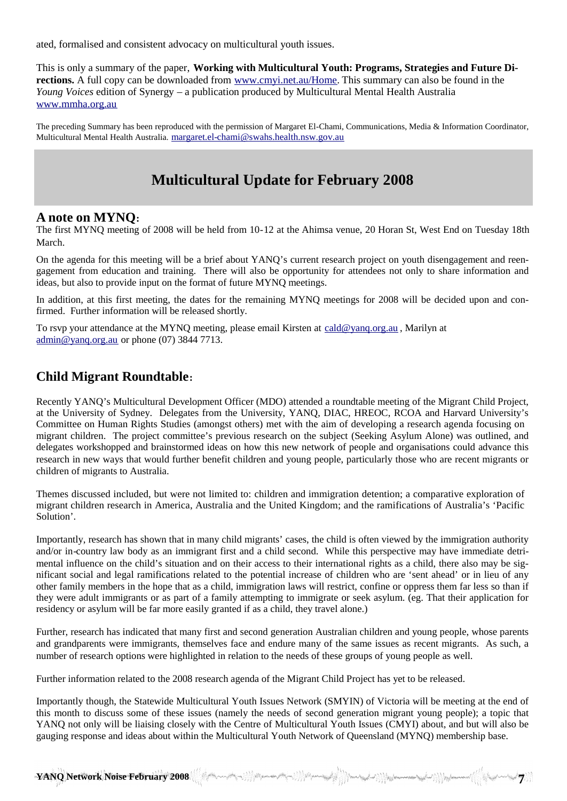ated, formalised and consistent advocacy on multicultural youth issues.

This is only a summary of the paper, **Working with Multicultural Youth: Programs, Strategies and Future Directions.** A full copy can be downloaded from www.cmyi.net.au/Home. This summary can also be found in the *Young Voices* edition of Synergy – a publication produced by Multicultural Mental Health Australia www.mmha.org.au

The preceding Summary has been reproduced with the permission of Margaret El-Chami, Communications, Media & Information Coordinator, Multicultural Mental Health Australia. margaret.el-chami@swahs.health.nsw.gov.au

## **Multicultural Update for February 2008**

### **A note on MYNQ:**

The first MYNQ meeting of 2008 will be held from 10-12 at the Ahimsa venue, 20 Horan St, West End on Tuesday 18th March.

On the agenda for this meeting will be a brief about YANQ's current research project on youth disengagement and reengagement from education and training. There will also be opportunity for attendees not only to share information and ideas, but also to provide input on the format of future MYNQ meetings.

In addition, at this first meeting, the dates for the remaining MYNQ meetings for 2008 will be decided upon and confirmed. Further information will be released shortly.

To rsvp your attendance at the MYNQ meeting, please email Kirsten at cald@yanq.org.au , Marilyn at admin@yanq.org.au or phone (07) 3844 7713.

## **Child Migrant Roundtable:**

Recently YANQ's Multicultural Development Officer (MDO) attended a roundtable meeting of the Migrant Child Project, at the University of Sydney. Delegates from the University, YANQ, DIAC, HREOC, RCOA and Harvard University's Committee on Human Rights Studies (amongst others) met with the aim of developing a research agenda focusing on migrant children. The project committee's previous research on the subject (Seeking Asylum Alone) was outlined, and delegates workshopped and brainstormed ideas on how this new network of people and organisations could advance this research in new ways that would further benefit children and young people, particularly those who are recent migrants or children of migrants to Australia.

Themes discussed included, but were not limited to: children and immigration detention; a comparative exploration of migrant children research in America, Australia and the United Kingdom; and the ramifications of Australia's 'Pacific Solution'.

Importantly, research has shown that in many child migrants' cases, the child is often viewed by the immigration authority and/or in-country law body as an immigrant first and a child second. While this perspective may have immediate detrimental influence on the child's situation and on their access to their international rights as a child, there also may be significant social and legal ramifications related to the potential increase of children who are 'sent ahead' or in lieu of any other family members in the hope that as a child, immigration laws will restrict, confine or oppress them far less so than if they were adult immigrants or as part of a family attempting to immigrate or seek asylum. (eg. That their application for residency or asylum will be far more easily granted if as a child, they travel alone.)

Further, research has indicated that many first and second generation Australian children and young people, whose parents and grandparents were immigrants, themselves face and endure many of the same issues as recent migrants. As such, a number of research options were highlighted in relation to the needs of these groups of young people as well.

Further information related to the 2008 research agenda of the Migrant Child Project has yet to be released.

Importantly though, the Statewide Multicultural Youth Issues Network (SMYIN) of Victoria will be meeting at the end of this month to discuss some of these issues (namely the needs of second generation migrant young people); a topic that YANQ not only will be liaising closely with the Centre of Multicultural Youth Issues (CMYI) about, and but will also be gauging response and ideas about within the Multicultural Youth Network of Queensland (MYNQ) membership base.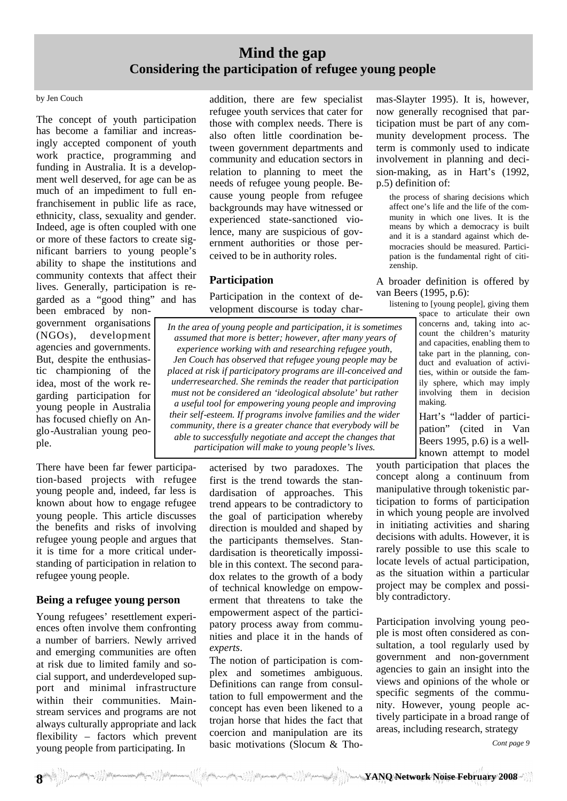## **Mind the gap Considering the participation of refugee young people**

#### by Jen Couch

The concept of youth participation has become a familiar and increasingly accepted component of youth work practice, programming and funding in Australia. It is a development well deserved, for age can be as much of an impediment to full enfranchisement in public life as race, ethnicity, class, sexuality and gender. Indeed, age is often coupled with one or more of these factors to create significant barriers to young people's ability to shape the institutions and community contexts that affect their lives. Generally, participation is regarded as a "good thing" and has

been embraced by nongovernment organisations (NGOs), development agencies and governments. But, despite the enthusiastic championing of the idea, most of the work regarding participation for young people in Australia has focused chiefly on Anglo-Australian young people.

There have been far fewer participation-based projects with refugee young people and, indeed, far less is known about how to engage refugee young people. This article discusses the benefits and risks of involving refugee young people and argues that it is time for a more critical understanding of participation in relation to refugee young people.

#### **Being a refugee young person**

Young refugees' resettlement experiences often involve them confronting a number of barriers. Newly arrived and emerging communities are often at risk due to limited family and social support, and underdeveloped support and minimal infrastructure within their communities. Mainstream services and programs are not always culturally appropriate and lack flexibility – factors which prevent young people from participating. In

addition, there are few specialist refugee youth services that cater for those with complex needs. There is also often little coordination between government departments and community and education sectors in relation to planning to meet the needs of refugee young people. Because young people from refugee backgrounds may have witnessed or experienced state-sanctioned violence, many are suspicious of government authorities or those perceived to be in authority roles.

#### **Participation**

Participation in the context of development discourse is today char-

*In the area of young people and participation, it is sometimes assumed that more is better; however, after many years of experience working with and researching refugee youth, Jen Couch has observed that refugee young people may be placed at risk if participatory programs are ill-conceived and underresearched. She reminds the reader that participation must not be considered an 'ideological absolute' but rather a useful tool for empowering young people and improving their self-esteem. If programs involve families and the wider community, there is a greater chance that everybody will be able to successfully negotiate and accept the changes that participation will make to young people's lives.*

> acterised by two paradoxes. The first is the trend towards the standardisation of approaches. This trend appears to be contradictory to the goal of participation whereby direction is moulded and shaped by the participants themselves. Standardisation is theoretically impossible in this context. The second paradox relates to the growth of a body of technical knowledge on empowerment that threatens to take the empowerment aspect of the participatory process away from communities and place it in the hands of *experts*.

> The notion of participation is complex and sometimes ambiguous. Definitions can range from consultation to full empowerment and the concept has even been likened to a trojan horse that hides the fact that coercion and manipulation are its basic motivations (Slocum & Tho

mas-Slayter 1995). It is, however, now generally recognised that participation must be part of any community development process. The term is commonly used to indicate involvement in planning and decision-making, as in Hart's (1992, p.5) definition of:

the process of sharing decisions which affect one's life and the life of the community in which one lives. It is the means by which a democracy is built and it is a standard against which democracies should be measured. Participation is the fundamental right of citizenship.

A broader definition is offered by van Beers (1995, p.6):

listening to [young people], giving them

space to articulate their own concerns and, taking into account the children's maturity and capacities, enabling them to take part in the planning, conduct and evaluation of activities, within or outside the family sphere, which may imply involving them in decision making.

Hart's "ladder of participation" (cited in Van Beers 1995, p.6) is a wellknown attempt to model

youth participation that places the concept along a continuum from manipulative through tokenistic participation to forms of participation in which young people are involved in initiating activities and sharing decisions with adults. However, it is rarely possible to use this scale to locate levels of actual participation, as the situation within a particular project may be complex and possibly contradictory.

Participation involving young people is most often considered as consultation, a tool regularly used by government and non-government agencies to gain an insight into the views and opinions of the whole or specific segments of the community. However, young people actively participate in a broad range of areas, including research, strategy

*Cont page 9*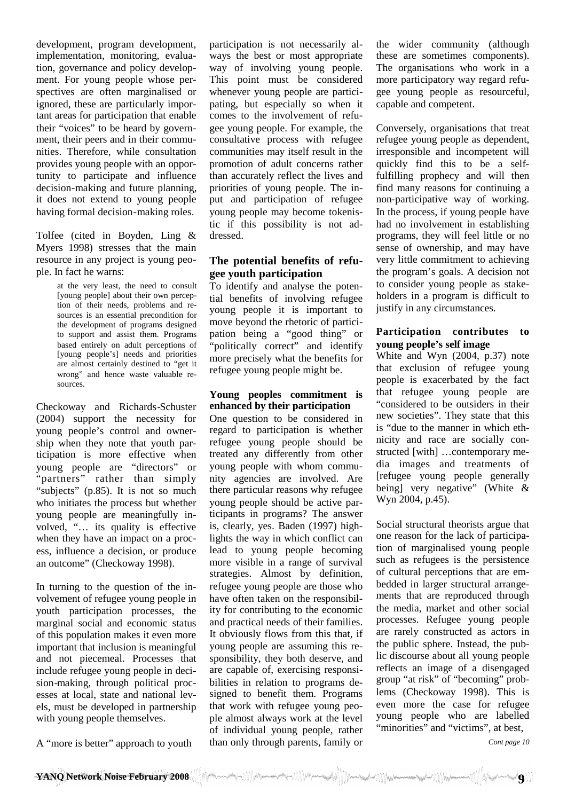development, program development, implementation, monitoring, evaluation, governance and policy development. For young people whose perspectives are often marginalised or ignored, these are particularly important areas for participation that enable their "voices" to be heard by government, their peers and in their communities. Therefore, while consultation provides young people with an opportunity to participate and influence decision-making and future planning, it does not extend to young people having formal decision-making roles.

Tolfee (cited in Boyden, Ling & Myers 1998) stresses that the main resource in any project is young people. In fact he warns:

> at the very least, the need to consult [young people] about their own perception of their needs, problems and resources is an essential precondition for the development of programs designed to support and assist them. Programs based entirely on adult perceptions of [young people's] needs and priorities are almost certainly destined to "get it wrong" and hence waste valuable resources.

Checkoway and Richards-Schuster (2004) support the necessity for young people's control and ownership when they note that youth participation is more effective when young people are "directors" or "partners" rather than simply "subjects" (p.85). It is not so much who initiates the process but whether young people are meaningfully involved, "… its quality is effective when they have an impact on a process, influence a decision, or produce an outcome" (Checkoway 1998).

In turning to the question of the involvement of refugee young people in youth participation processes, the marginal social and economic status of this population makes it even more important that inclusion is meaningful and not piecemeal. Processes that include refugee young people in decision-making, through political processes at local, state and national levels, must be developed in partnership with young people themselves.

A "more is better" approach to youth

participation is not necessarily always the best or most appropriate way of involving young people. This point must be considered whenever young people are participating, but especially so when it comes to the involvement of refugee young people. For example, the consultative process with refugee communities may itself result in the promotion of adult concerns rather than accurately reflect the lives and priorities of young people. The input and participation of refugee young people may become tokenistic if this possibility is not addressed.

#### **The potential benefits of refugee youth participation**

To identify and analyse the potential benefits of involving refugee young people it is important to move beyond the rhetoric of participation being a "good thing" or "politically correct" and identify more precisely what the benefits for refugee young people might be.

#### **Young peoples commitment is enhanced by their participation**

One question to be considered in regard to participation is whether refugee young people should be treated any differently from other young people with whom community agencies are involved. Are there particular reasons why refugee young people should be active participants in programs? The answer is, clearly, yes. Baden (1997) highlights the way in which conflict can lead to young people becoming more visible in a range of survival strategies. Almost by definition, refugee young people are those who have often taken on the responsibility for contributing to the economic and practical needs of their families. It obviously flows from this that, if young people are assuming this responsibility, they both deserve, and are capable of, exercising responsibilities in relation to programs designed to benefit them. Programs that work with refugee young people almost always work at the level of individual young people, rather than only through parents, family or the wider community (although these are sometimes components). The organisations who work in a more participatory way regard refugee young people as resourceful, capable and competent.

Conversely, organisations that treat refugee young people as dependent, irresponsible and incompetent will quickly find this to be a selffulfilling prophecy and will then find many reasons for continuing a non-participative way of working. In the process, if young people have had no involvement in establishing programs, they will feel little or no sense of ownership, and may have very little commitment to achieving the program's goals. A decision not to consider young people as stakeholders in a program is difficult to justify in any circumstances.

#### **Participation contributes to young people's self image**

White and Wyn (2004, p.37) note that exclusion of refugee young people is exacerbated by the fact that refugee young people are "considered to be outsiders in their new societies". They state that this is "due to the manner in which ethnicity and race are socially constructed [with] …contemporary media images and treatments of [refugee young people generally being] very negative" (White & Wyn 2004, p.45).

Social structural theorists argue that one reason for the lack of participation of marginalised young people such as refugees is the persistence of cultural perceptions that are embedded in larger structural arrangements that are reproduced through the media, market and other social processes. Refugee young people are rarely constructed as actors in the public sphere. Instead, the public discourse about all young people reflects an image of a disengaged group "at risk" of "becoming" problems (Checkoway 1998). This is even more the case for refugee young people who are labelled "minorities" and "victims", at best,

*Cont page 10*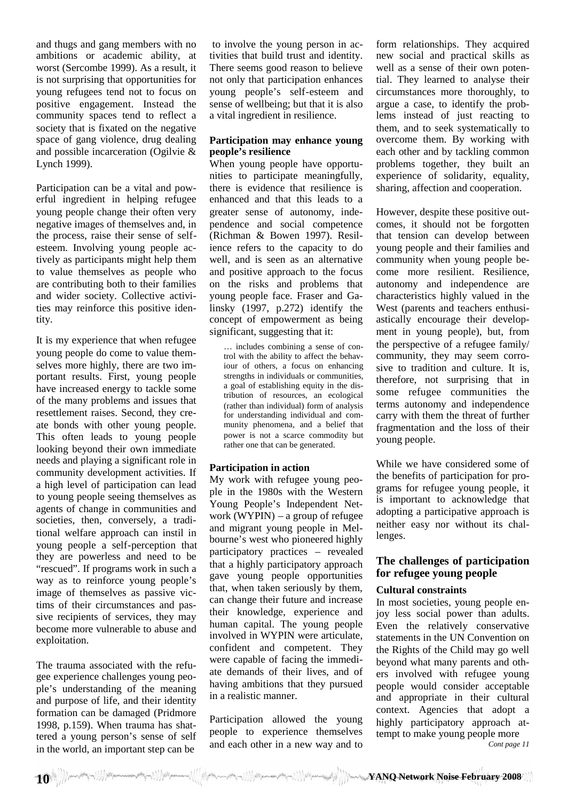and thugs and gang members with no ambitions or academic ability, at worst (Sercombe 1999). As a result, it is not surprising that opportunities for young refugees tend not to focus on positive engagement. Instead the community spaces tend to reflect a society that is fixated on the negative space of gang violence, drug dealing and possible incarceration (Ogilvie & Lynch 1999).

Participation can be a vital and powerful ingredient in helping refugee young people change their often very negative images of themselves and, in the process, raise their sense of selfesteem. Involving young people actively as participants might help them to value themselves as people who are contributing both to their families and wider society. Collective activities may reinforce this positive identity.

It is my experience that when refugee young people do come to value themselves more highly, there are two important results. First, young people have increased energy to tackle some of the many problems and issues that resettlement raises. Second, they create bonds with other young people. This often leads to young people looking beyond their own immediate needs and playing a significant role in community development activities. If a high level of participation can lead to young people seeing themselves as agents of change in communities and societies, then, conversely, a traditional welfare approach can instil in young people a self-perception that they are powerless and need to be "rescued". If programs work in such a way as to reinforce young people's image of themselves as passive victims of their circumstances and passive recipients of services, they may become more vulnerable to abuse and exploitation.

The trauma associated with the refugee experience challenges young people's understanding of the meaning and purpose of life, and their identity formation can be damaged (Pridmore 1998, p.159). When trauma has shattered a young person's sense of self in the world, an important step can be

to involve the young person in activities that build trust and identity. There seems good reason to believe not only that participation enhances young people's self-esteem and sense of wellbeing; but that it is also a vital ingredient in resilience.

#### **Participation may enhance young people's resilience**

When young people have opportunities to participate meaningfully, there is evidence that resilience is enhanced and that this leads to a greater sense of autonomy, independence and social competence (Richman & Bowen 1997). Resilience refers to the capacity to do well, and is seen as an alternative and positive approach to the focus on the risks and problems that young people face. Fraser and Galinsky (1997, p.272) identify the concept of empowerment as being significant, suggesting that it:

… includes combining a sense of control with the ability to affect the behaviour of others, a focus on enhancing strengths in individuals or communities, a goal of establishing equity in the distribution of resources, an ecological (rather than individual) form of analysis for understanding individual and community phenomena, and a belief that power is not a scarce commodity but rather one that can be generated.

### **Participation in action**

My work with refugee young people in the 1980s with the Western Young People's Independent Network (WYPIN) – a group of refugee and migrant young people in Melbourne's west who pioneered highly participatory practices – revealed that a highly participatory approach gave young people opportunities that, when taken seriously by them, can change their future and increase their knowledge, experience and human capital. The young people involved in WYPIN were articulate, confident and competent. They were capable of facing the immediate demands of their lives, and of having ambitions that they pursued in a realistic manner.

Participation allowed the young people to experience themselves and each other in a new way and to

form relationships. They acquired new social and practical skills as well as a sense of their own potential. They learned to analyse their circumstances more thoroughly, to argue a case, to identify the problems instead of just reacting to them, and to seek systematically to overcome them. By working with each other and by tackling common problems together, they built an experience of solidarity, equality, sharing, affection and cooperation.

However, despite these positive outcomes, it should not be forgotten that tension can develop between young people and their families and community when young people become more resilient. Resilience, autonomy and independence are characteristics highly valued in the West (parents and teachers enthusiastically encourage their development in young people), but, from the perspective of a refugee family/ community, they may seem corrosive to tradition and culture. It is, therefore, not surprising that in some refugee communities the terms autonomy and independence carry with them the threat of further fragmentation and the loss of their young people.

While we have considered some of the benefits of participation for programs for refugee young people, it is important to acknowledge that adopting a participative approach is neither easy nor without its challenges.

### **The challenges of participation for refugee young people**

#### **Cultural constraints**

In most societies, young people enjoy less social power than adults. Even the relatively conservative statements in the UN Convention on the Rights of the Child may go well beyond what many parents and others involved with refugee young people would consider acceptable and appropriate in their cultural context. Agencies that adopt a highly participatory approach attempt to make young people more *Cont page 11*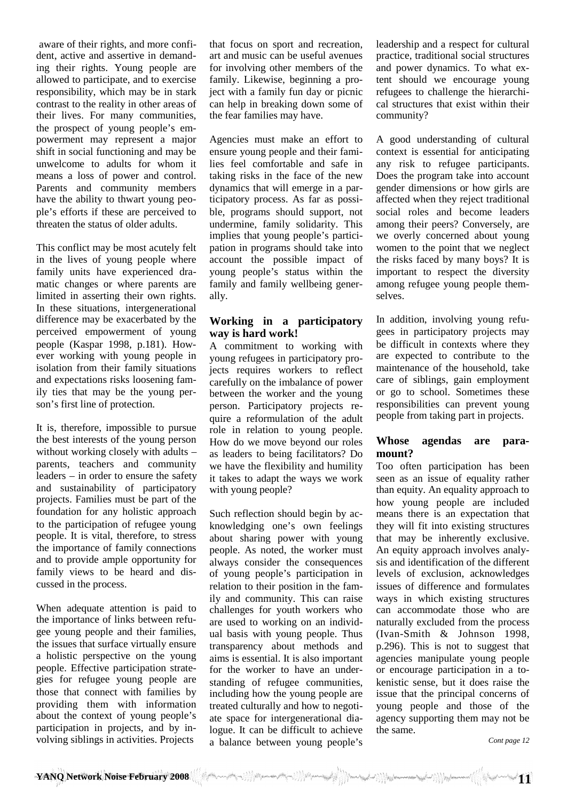aware of their rights, and more confident, active and assertive in demanding their rights. Young people are allowed to participate, and to exercise responsibility, which may be in stark contrast to the reality in other areas of their lives. For many communities, the prospect of young people's empowerment may represent a major shift in social functioning and may be unwelcome to adults for whom it means a loss of power and control. Parents and community members have the ability to thwart young people's efforts if these are perceived to threaten the status of older adults.

This conflict may be most acutely felt in the lives of young people where family units have experienced dramatic changes or where parents are limited in asserting their own rights. In these situations, intergenerational difference may be exacerbated by the perceived empowerment of young people (Kaspar 1998, p.181). However working with young people in isolation from their family situations and expectations risks loosening family ties that may be the young person's first line of protection.

It is, therefore, impossible to pursue the best interests of the young person without working closely with adults – parents, teachers and community leaders – in order to ensure the safety and sustainability of participatory projects. Families must be part of the foundation for any holistic approach to the participation of refugee young people. It is vital, therefore, to stress the importance of family connections and to provide ample opportunity for family views to be heard and discussed in the process.

When adequate attention is paid to the importance of links between refugee young people and their families, the issues that surface virtually ensure a holistic perspective on the young people. Effective participation strategies for refugee young people are those that connect with families by providing them with information about the context of young people's participation in projects, and by involving siblings in activities. Projects

that focus on sport and recreation, art and music can be useful avenues for involving other members of the family. Likewise, beginning a project with a family fun day or picnic can help in breaking down some of the fear families may have.

Agencies must make an effort to ensure young people and their families feel comfortable and safe in taking risks in the face of the new dynamics that will emerge in a participatory process. As far as possible, programs should support, not undermine, family solidarity. This implies that young people's participation in programs should take into account the possible impact of young people's status within the family and family wellbeing generally.

#### **Working in a participatory way is hard work!**

A commitment to working with young refugees in participatory projects requires workers to reflect carefully on the imbalance of power between the worker and the young person. Participatory projects require a reformulation of the adult role in relation to young people. How do we move beyond our roles as leaders to being facilitators? Do we have the flexibility and humility it takes to adapt the ways we work with young people?

Such reflection should begin by acknowledging one's own feelings about sharing power with young people. As noted, the worker must always consider the consequences of young people's participation in relation to their position in the family and community. This can raise challenges for youth workers who are used to working on an individual basis with young people. Thus transparency about methods and aims is essential. It is also important for the worker to have an understanding of refugee communities, including how the young people are treated culturally and how to negotiate space for intergenerational dialogue. It can be difficult to achieve a balance between young people's leadership and a respect for cultural practice, traditional social structures and power dynamics. To what extent should we encourage young refugees to challenge the hierarchical structures that exist within their community?

A good understanding of cultural context is essential for anticipating any risk to refugee participants. Does the program take into account gender dimensions or how girls are affected when they reject traditional social roles and become leaders among their peers? Conversely, are we overly concerned about young women to the point that we neglect the risks faced by many boys? It is important to respect the diversity among refugee young people themselves.

In addition, involving young refugees in participatory projects may be difficult in contexts where they are expected to contribute to the maintenance of the household, take care of siblings, gain employment or go to school. Sometimes these responsibilities can prevent young people from taking part in projects.

### **Whose agendas are paramount?**

Too often participation has been seen as an issue of equality rather than equity. An equality approach to how young people are included means there is an expectation that they will fit into existing structures that may be inherently exclusive. An equity approach involves analysis and identification of the different levels of exclusion, acknowledges issues of difference and formulates ways in which existing structures can accommodate those who are naturally excluded from the process (Ivan-Smith & Johnson 1998, p.296). This is not to suggest that agencies manipulate young people or encourage participation in a tokenistic sense, but it does raise the issue that the principal concerns of young people and those of the agency supporting them may not be the same.

*Cont page 12*

**11 YANQ Network Noise February 2008**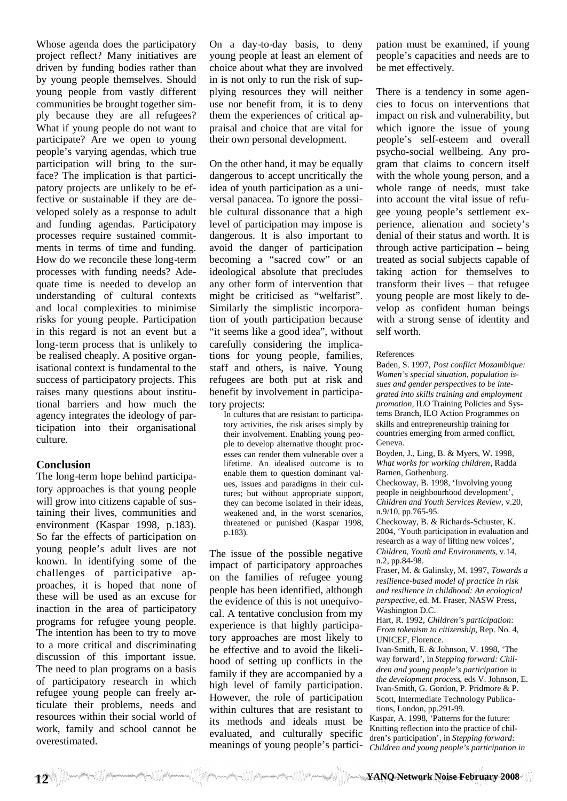Whose agenda does the participatory project reflect? Many initiatives are driven by funding bodies rather than by young people themselves. Should young people from vastly different communities be brought together simply because they are all refugees? What if young people do not want to participate? Are we open to young people's varying agendas, which true participation will bring to the surface? The implication is that participatory projects are unlikely to be effective or sustainable if they are developed solely as a response to adult and funding agendas. Participatory processes require sustained commitments in terms of time and funding. How do we reconcile these long-term processes with funding needs? Adequate time is needed to develop an understanding of cultural contexts and local complexities to minimise risks for young people. Participation in this regard is not an event but a long-term process that is unlikely to be realised cheaply. A positive organisational context is fundamental to the success of participatory projects. This raises many questions about institutional barriers and how much the agency integrates the ideology of participation into their organisational culture.

#### **Conclusion**

The long-term hope behind participatory approaches is that young people will grow into citizens capable of sustaining their lives, communities and environment (Kaspar 1998, p.183). So far the effects of participation on young people's adult lives are not known. In identifying some of the challenges of participative approaches, it is hoped that none of these will be used as an excuse for inaction in the area of participatory programs for refugee young people. The intention has been to try to move to a more critical and discriminating discussion of this important issue. The need to plan programs on a basis of participatory research in which refugee young people can freely articulate their problems, needs and resources within their social world of work, family and school cannot be overestimated.

On a day-to-day basis, to deny young people at least an element of choice about what they are involved in is not only to run the risk of supplying resources they will neither use nor benefit from, it is to deny them the experiences of critical appraisal and choice that are vital for their own personal development.

On the other hand, it may be equally dangerous to accept uncritically the idea of youth participation as a universal panacea. To ignore the possible cultural dissonance that a high level of participation may impose is dangerous. It is also important to avoid the danger of participation becoming a "sacred cow" or an ideological absolute that precludes any other form of intervention that might be criticised as "welfarist". Similarly the simplistic incorporation of youth participation because "it seems like a good idea", without carefully considering the implications for young people, families, staff and others, is naive. Young refugees are both put at risk and benefit by involvement in participatory projects:

In cultures that are resistant to participatory activities, the risk arises simply by their involvement. Enabling young people to develop alternative thought processes can render them vulnerable over a lifetime. An idealised outcome is to enable them to question dominant values, issues and paradigms in their cultures; but without appropriate support, they can become isolated in their ideas, weakened and, in the worst scenarios, threatened or punished (Kaspar 1998, p.183).

The issue of the possible negative impact of participatory approaches on the families of refugee young people has been identified, although the evidence of this is not unequivocal. A tentative conclusion from my experience is that highly participatory approaches are most likely to be effective and to avoid the likelihood of setting up conflicts in the family if they are accompanied by a high level of family participation. However, the role of participation within cultures that are resistant to its methods and ideals must be evaluated, and culturally specific meanings of young people's participation must be examined, if young people's capacities and needs are to be met effectively.

There is a tendency in some agencies to focus on interventions that impact on risk and vulnerability, but which ignore the issue of young people's self-esteem and overall psycho-social wellbeing. Any program that claims to concern itself with the whole young person, and a whole range of needs, must take into account the vital issue of refugee young people's settlement experience, alienation and society's denial of their status and worth. It is through active participation – being treated as social subjects capable of taking action for themselves to transform their lives – that refugee young people are most likely to develop as confident human beings with a strong sense of identity and self worth.

#### References

Baden, S. 1997, *Post conflict Mozambique: Women's special situation, population issues and gender perspectives to be integrated into skills training and employment promotion,* ILO Training Policies and Systems Branch, ILO Action Programmes on skills and entrepreneurship training for countries emerging from armed conflict, Geneva.

Boyden, J., Ling, B. & Myers, W. 1998, *What works for working children*, Radda Barnen, Gothenburg.

Checkoway, B. 1998, 'Involving young people in neighbourhood development', *Children and Youth Services Review,* v.20, n.9/10, pp.765-95.

Checkoway, B. & Richards-Schuster, K. 2004, 'Youth participation in evaluation and research as a way of lifting new voices', *Children, Youth and Environments*, v.14, n.2, pp.84-98.

Fraser, M. & Galinsky, M. 1997, *Towards a resilience-based model of practice in risk and resilience in childhood: An ecological perspective,* ed. M. Fraser, NASW Press, Washington D.C.

Hart, R. 1992, *Children's participation: From tokenism to citizenship*, Rep. No. 4, UNICEF, Florence.

Ivan-Smith, E. & Johnson, V. 1998, 'The way forward', in *Stepping forward: Children and young people's participation in the development process*, eds V. Johnson, E. Ivan-Smith, G. Gordon, P. Pridmore & P. Scott, Intermediate Technology Publications, London, pp.291-99.

Kaspar, A. 1998, 'Patterns for the future: Knitting reflection into the practice of children's participation', in *Stepping forward: Children and young people's participation in*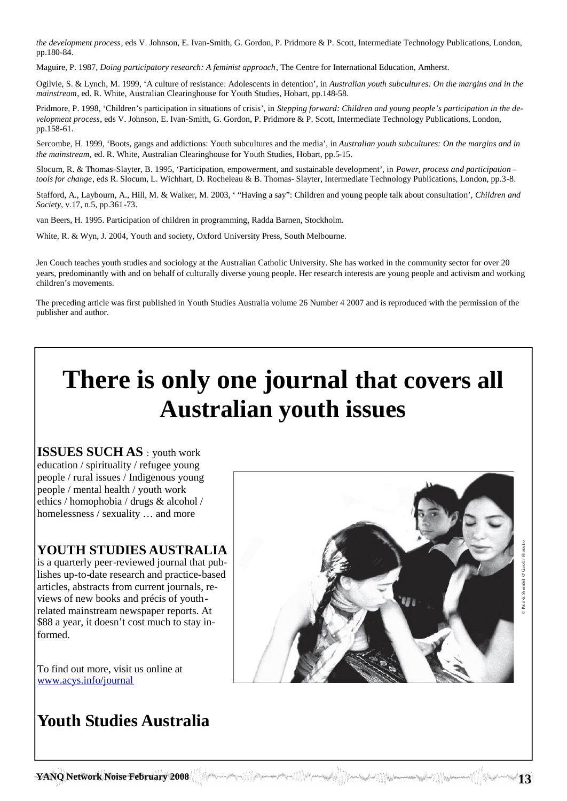*the development process*, eds V. Johnson, E. Ivan-Smith, G. Gordon, P. Pridmore & P. Scott, Intermediate Technology Publications, London, pp.180-84.

Maguire, P. 1987, *Doing participatory research: A feminist approach*, The Centre for International Education, Amherst.

Ogilvie, S. & Lynch, M. 1999, 'A culture of resistance: Adolescents in detention', in *Australian youth subcultures: On the margins and in the mainstream*, ed. R. White, Australian Clearinghouse for Youth Studies, Hobart, pp.148-58.

Pridmore, P. 1998, 'Children's participation in situations of crisis', in *Stepping forward: Children and young people's participation in the development process*, eds V. Johnson, E. Ivan-Smith, G. Gordon, P. Pridmore & P. Scott, Intermediate Technology Publications, London, pp.158-61.

Sercombe, H. 1999, 'Boots, gangs and addictions: Youth subcultures and the media', in *Australian youth subcultures: On the margins and in the mainstream,* ed. R. White, Australian Clearinghouse for Youth Studies, Hobart, pp.5-15.

Slocum, R. & Thomas-Slayter, B. 1995, 'Participation, empowerment, and sustainable development', in *Power, process and participation – tools for change*, eds R. Slocum, L. Wichhart, D. Rocheleau & B. Thomas- Slayter, Intermediate Technology Publications, London, pp.3-8.

Stafford, A., Laybourn, A., Hill, M. & Walker, M. 2003, ' "Having a say": Children and young people talk about consultation', *Children and Society*, v.17, n.5, pp.361-73.

van Beers, H. 1995. Participation of children in programming, Radda Barnen, Stockholm.

White, R. & Wyn, J. 2004, Youth and society, Oxford University Press, South Melbourne.

Jen Couch teaches youth studies and sociology at the Australian Catholic University. She has worked in the community sector for over 20 years, predominantly with and on behalf of culturally diverse young people. Her research interests are young people and activism and working children's movements.

The preceding article was first published in Youth Studies Australia volume 26 Number 4 2007 and is reproduced with the permission of the publisher and author.

# **There is only one journal that covers all Australian youth issues**

**ISSUES SUCH AS** : youth work education / spirituality / refugee young people / rural issues / Indigenous young people / mental health / youth work ethics / homophobia / drugs & alcohol / homelessness / sexuality … and more

## **YOUTH STUDIES AUSTRALIA**

is a quarterly peer-reviewed journal that publishes up-to-date research and practice-based articles, abstracts from current journals, reviews of new books and précis of youthrelated mainstream newspaper reports. At \$88 a year, it doesn't cost much to stay informed.

To find out more, visit us online at www.acys.info/journal

## **Youth Studies Australia**



**13 YANQ Network Noise February 2008**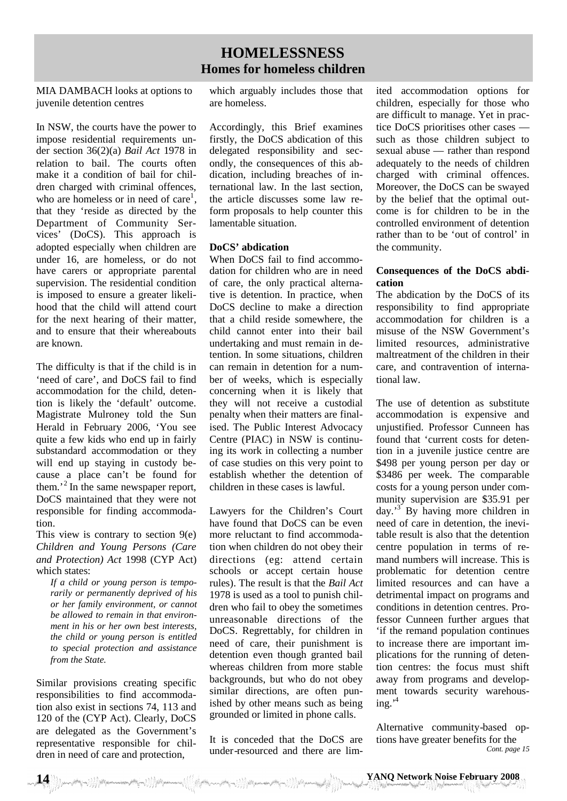## **HOMELESSNESS Homes for homeless children**

MIA DAMBACH looks at options to juvenile detention centres

In NSW, the courts have the power to impose residential requirements under section 36(2)(a) *Bail Act* 1978 in relation to bail. The courts often make it a condition of bail for children charged with criminal offences, who are homeless or in need of care<sup>1</sup>, that they 'reside as directed by the Department of Community Services' (DoCS). This approach is adopted especially when children are under 16, are homeless, or do not have carers or appropriate parental supervision. The residential condition is imposed to ensure a greater likelihood that the child will attend court for the next hearing of their matter, and to ensure that their whereabouts are known.

The difficulty is that if the child is in 'need of care', and DoCS fail to find accommodation for the child, detention is likely the 'default' outcome. Magistrate Mulroney told the Sun Herald in February 2006, 'You see quite a few kids who end up in fairly substandard accommodation or they will end up staying in custody because a place can't be found for them.<sup> $2$ </sup> In the same newspaper report, DoCS maintained that they were not responsible for finding accommodation.

This view is contrary to section 9(e) *Children and Young Persons (Care and Protection) Act* 1998 (CYP Act) which states:

*If a child or young person is temporarily or permanently deprived of his or her family environment, or cannot be allowed to remain in that environment in his or her own best interests, the child or young person is entitled to special protection and assistance from the State.*

Similar provisions creating specific responsibilities to find accommodation also exist in sections 74, 113 and 120 of the (CYP Act). Clearly, DoCS are delegated as the Government's representative responsible for children in need of care and protection,

which arguably includes those that are homeless.

Accordingly, this Brief examines firstly, the DoCS abdication of this delegated responsibility and secondly, the consequences of this abdication, including breaches of international law. In the last section, the article discusses some law reform proposals to help counter this lamentable situation.

#### **DoCS' abdication**

When DoCS fail to find accommodation for children who are in need of care, the only practical alternative is detention. In practice, when DoCS decline to make a direction that a child reside somewhere, the child cannot enter into their bail undertaking and must remain in detention. In some situations, children can remain in detention for a number of weeks, which is especially concerning when it is likely that they will not receive a custodial penalty when their matters are finalised. The Public Interest Advocacy Centre (PIAC) in NSW is continuing its work in collecting a number of case studies on this very point to establish whether the detention of children in these cases is lawful.

Lawyers for the Children's Court have found that DoCS can be even more reluctant to find accommodation when children do not obey their directions (eg: attend certain schools or accept certain house rules). The result is that the *Bail Act* 1978 is used as a tool to punish children who fail to obey the sometimes unreasonable directions of the DoCS. Regrettably, for children in need of care, their punishment is detention even though granted bail whereas children from more stable backgrounds, but who do not obey similar directions, are often punished by other means such as being grounded or limited in phone calls.

It is conceded that the DoCS are under-resourced and there are limited accommodation options for children, especially for those who are difficult to manage. Yet in practice DoCS prioritises other cases such as those children subject to sexual abuse — rather than respond adequately to the needs of children charged with criminal offences. Moreover, the DoCS can be swayed by the belief that the optimal outcome is for children to be in the controlled environment of detention rather than to be 'out of control' in the community.

#### **Consequences of the DoCS abdication**

The abdication by the DoCS of its responsibility to find appropriate accommodation for children is a misuse of the NSW Government's limited resources, administrative maltreatment of the children in their care, and contravention of international law.

The use of detention as substitute accommodation is expensive and unjustified. Professor Cunneen has found that 'current costs for detention in a juvenile justice centre are \$498 per young person per day or \$3486 per week. The comparable costs for a young person under community supervision are \$35.91 per day.'<sup>3</sup> By having more children in need of care in detention, the inevitable result is also that the detention centre population in terms of remand numbers will increase. This is problematic for detention centre limited resources and can have a detrimental impact on programs and conditions in detention centres. Professor Cunneen further argues that 'if the remand population continues to increase there are important implications for the running of detention centres: the focus must shift away from programs and development towards security warehous $ine.$ <sup>4</sup>

Alternative community-based options have greater benefits for the *Cont. page 15*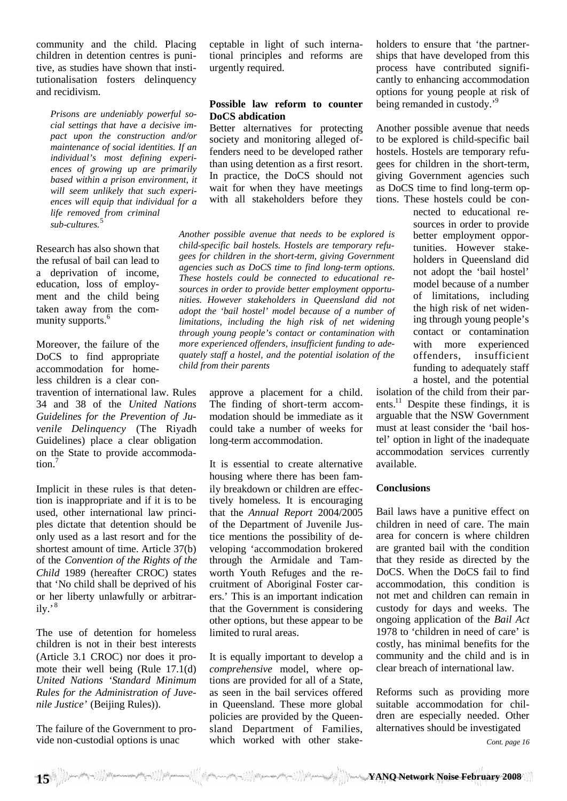community and the child. Placing children in detention centres is punitive, as studies have shown that institutionalisation fosters delinquency and recidivism.

*Prisons are undeniably powerful social settings that have a decisive impact upon the construction and/or maintenance of social identities. If an individual's most defining experiences of growing up are primarily based within a prison environment, it will seem unlikely that such experiences will equip that individual for a life removed from criminal sub-cultures.*<sup>5</sup>

Research has also shown that the refusal of bail can lead to a deprivation of income, education, loss of employment and the child being taken away from the community supports.<sup>6</sup>

Moreover, the failure of the DoCS to find appropriate accommodation for homeless children is a clear con-

travention of international law. Rules 34 and 38 of the *United Nations Guidelines for the Prevention of Juvenile Delinquency* (The Riyadh Guidelines) place a clear obligation on the State to provide accommodation.<sup>7</sup>

Implicit in these rules is that detention is inappropriate and if it is to be used, other international law principles dictate that detention should be only used as a last resort and for the shortest amount of time. Article 37(b) of the *Convention of the Rights of the Child* 1989 (hereafter CROC) states that 'No child shall be deprived of his or her liberty unlawfully or arbitrar $i\mathrm{lv.}$ <sup>8</sup>

The use of detention for homeless children is not in their best interests (Article 3.1 CROC) nor does it promote their well being (Rule 17.1(d) *United Nations 'Standard Minimum Rules for the Administration of Juvenile Justice'* (Beijing Rules)).

The failure of the Government to provide non-custodial options is unac

ceptable in light of such international principles and reforms are urgently required.

#### **Possible law reform to counter DoCS abdication**

Better alternatives for protecting society and monitoring alleged offenders need to be developed rather than using detention as a first resort. In practice, the DoCS should not wait for when they have meetings with all stakeholders before they

*Another possible avenue that needs to be explored is child-specific bail hostels. Hostels are temporary refugees for children in the short-term, giving Government agencies such as DoCS time to find long-term options. These hostels could be connected to educational resources in order to provide better employment opportunities. However stakeholders in Queensland did not adopt the 'bail hostel' model because of a number of limitations, including the high risk of net widening through young people's contact or contamination with more experienced offenders, insufficient funding to adequately staff a hostel, and the potential isolation of the child from their parents*

> approve a placement for a child. The finding of short-term accommodation should be immediate as it could take a number of weeks for long-term accommodation.

It is essential to create alternative housing where there has been family breakdown or children are effectively homeless. It is encouraging that the *Annual Report* 2004/2005 of the Department of Juvenile Justice mentions the possibility of developing 'accommodation brokered through the Armidale and Tamworth Youth Refuges and the recruitment of Aboriginal Foster carers.' This is an important indication that the Government is considering other options, but these appear to be limited to rural areas.

It is equally important to develop a *comprehensive* model, where options are provided for all of a State, as seen in the bail services offered in Queensland. These more global policies are provided by the Queensland Department of Families, which worked with other stakeholders to ensure that 'the partnerships that have developed from this process have contributed significantly to enhancing accommodation options for young people at risk of being remanded in custody.'<sup>9</sup>

Another possible avenue that needs to be explored is child-specific bail hostels. Hostels are temporary refugees for children in the short-term, giving Government agencies such as DoCS time to find long-term options. These hostels could be con-

> nected to educational resources in order to provide better employment opportunities. However stakeholders in Queensland did not adopt the 'bail hostel' model because of a number of limitations, including the high risk of net widening through young people's contact or contamination with more experienced offenders, insufficient funding to adequately staff a hostel, and the potential

isolation of the child from their parents.<sup>11</sup> Despite these findings, it is arguable that the NSW Government must at least consider the 'bail hostel' option in light of the inadequate accommodation services currently available.

#### **Conclusions**

Bail laws have a punitive effect on children in need of care. The main area for concern is where children are granted bail with the condition that they reside as directed by the DoCS. When the DoCS fail to find accommodation, this condition is not met and children can remain in custody for days and weeks. The ongoing application of the *Bail Act* 1978 to 'children in need of care' is costly, has minimal benefits for the community and the child and is in clear breach of international law.

Reforms such as providing more suitable accommodation for children are especially needed. Other alternatives should be investigated

*Cont. page 16*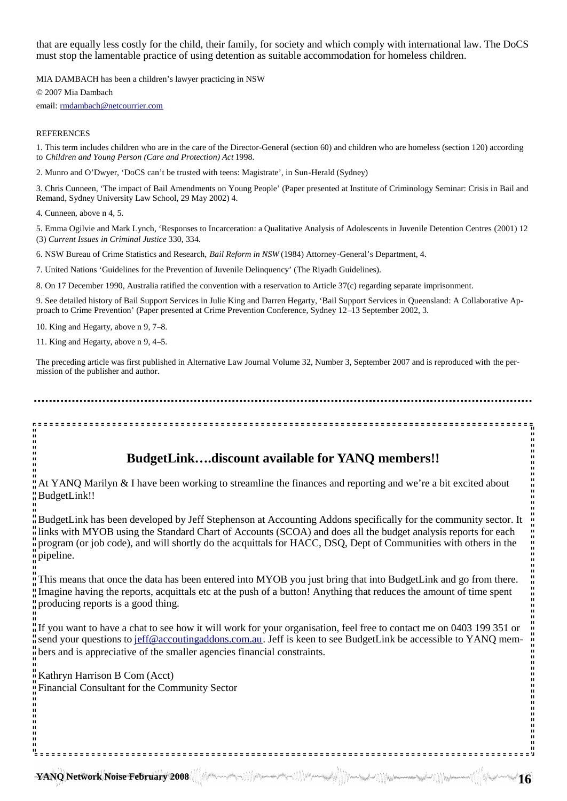that are equally less costly for the child, their family, for society and which comply with international law. The DoCS must stop the lamentable practice of using detention as suitable accommodation for homeless children.

MIA DAMBACH has been a children's lawyer practicing in NSW © 2007 Mia Dambach email: rmdambach@netcourrier.com

#### **REFERENCES**

1. This term includes children who are in the care of the Director-General (section 60) and children who are homeless (section 120) according to *Children and Young Person (Care and Protection) Act* 1998.

2. Munro and O'Dwyer, 'DoCS can't be trusted with teens: Magistrate', in Sun-Herald (Sydney)

3. Chris Cunneen, 'The impact of Bail Amendments on Young People' (Paper presented at Institute of Criminology Seminar: Crisis in Bail and Remand, Sydney University Law School, 29 May 2002) 4.

4. Cunneen, above n 4, 5.

5. Emma Ogilvie and Mark Lynch, 'Responses to Incarceration: a Qualitative Analysis of Adolescents in Juvenile Detention Centres (2001) 12 (3) *Current Issues in Criminal Justice* 330, 334.

6. NSW Bureau of Crime Statistics and Research, *Bail Reform in NSW* (1984) Attorney-General's Department, 4.

7. United Nations 'Guidelines for the Prevention of Juvenile Delinquency' (The Riyadh Guidelines).

8. On 17 December 1990, Australia ratified the convention with a reservation to Article 37(c) regarding separate imprisonment.

9. See detailed history of Bail Support Services in Julie King and Darren Hegarty, 'Bail Support Services in Queensland: A Collaborative Approach to Crime Prevention' (Paper presented at Crime Prevention Conference, Sydney 12–13 September 2002, 3.

10. King and Hegarty, above n 9, 7–8.

11. King and Hegarty, above n 9, 4–5.

The preceding article was first published in Alternative Law Journal Volume 32, Number 3, September 2007 and is reproduced with the permission of the publisher and author.

**BudgetLink….discount available for YANQ members!!**

At YANQ Marilyn & I have been working to streamline the finances and reporting and we're a bit excited about BudgetLink!!

BudgetLink has been developed by Jeff Stephenson at Accounting Addons specifically for the community sector. It links with MYOB using the Standard Chart of Accounts (SCOA) and does all the budget analysis reports for each program (or job code), and will shortly do the acquittals for HACC, DSQ, Dept of Communities with others in the pipeline.

This means that once the data has been entered into MYOB you just bring that into BudgetLink and go from there. Imagine having the reports, acquittals etc at the push of a button! Anything that reduces the amount of time spent producing reports is a good thing.

If you want to have a chat to see how it will work for your organisation, feel free to contact me on 0403 199 351 or send your questions to jeff@accoutingaddons.com.au. Jeff is keen to see BudgetLink be accessible to YANQ members and is appreciative of the smaller agencies financial constraints.

Kathryn Harrison B Com (Acct) Financial Consultant for the Community Sector  $\frac{11}{11}$   $\frac{11}{11}$   $\frac{11}{11}$   $\frac{11}{11}$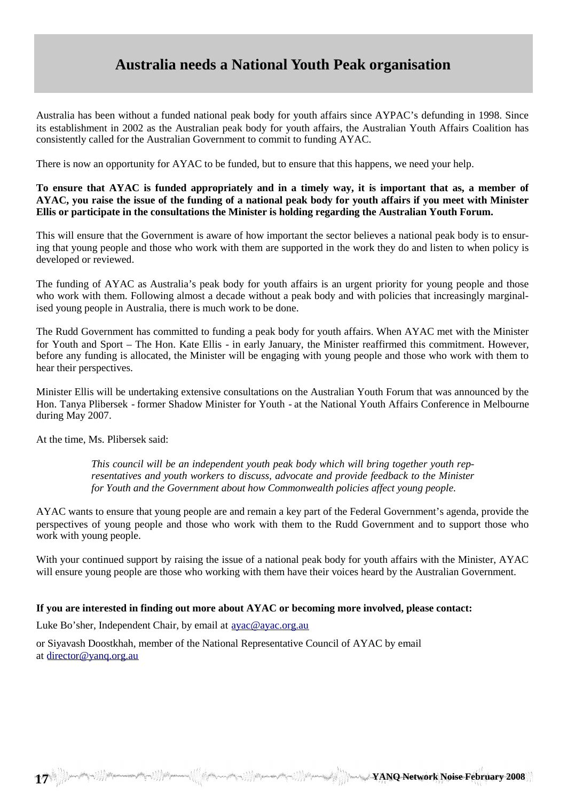## **Australia needs a National Youth Peak organisation**

Australia has been without a funded national peak body for youth affairs since AYPAC's defunding in 1998. Since its establishment in 2002 as the Australian peak body for youth affairs, the Australian Youth Affairs Coalition has consistently called for the Australian Government to commit to funding AYAC.

There is now an opportunity for AYAC to be funded, but to ensure that this happens, we need your help.

#### **To ensure that AYAC is funded appropriately and in a timely way, it is important that as, a member of AYAC, you raise the issue of the funding of a national peak body for youth affairs if you meet with Minister Ellis or participate in the consultations the Minister is holding regarding the Australian Youth Forum.**

This will ensure that the Government is aware of how important the sector believes a national peak body is to ensuring that young people and those who work with them are supported in the work they do and listen to when policy is developed or reviewed.

The funding of AYAC as Australia's peak body for youth affairs is an urgent priority for young people and those who work with them. Following almost a decade without a peak body and with policies that increasingly marginalised young people in Australia, there is much work to be done.

The Rudd Government has committed to funding a peak body for youth affairs. When AYAC met with the Minister for Youth and Sport – The Hon. Kate Ellis - in early January, the Minister reaffirmed this commitment. However, before any funding is allocated, the Minister will be engaging with young people and those who work with them to hear their perspectives.

Minister Ellis will be undertaking extensive consultations on the Australian Youth Forum that was announced by the Hon. Tanya Plibersek - former Shadow Minister for Youth - at the National Youth Affairs Conference in Melbourne during May 2007.

At the time, Ms. Plibersek said:

*This council will be an independent youth peak body which will bring together youth representatives and youth workers to discuss, advocate and provide feedback to the Minister for Youth and the Government about how Commonwealth policies affect young people.*

AYAC wants to ensure that young people are and remain a key part of the Federal Government's agenda, provide the perspectives of young people and those who work with them to the Rudd Government and to support those who work with young people.

With your continued support by raising the issue of a national peak body for youth affairs with the Minister, AYAC will ensure young people are those who working with them have their voices heard by the Australian Government.

#### **If you are interested in finding out more about AYAC or becoming more involved, please contact:**

Luke Bo'sher, Independent Chair, by email at ayac@ayac.org.au

or Siyavash Doostkhah, member of the National Representative Council of AYAC by email at director@yanq.org.au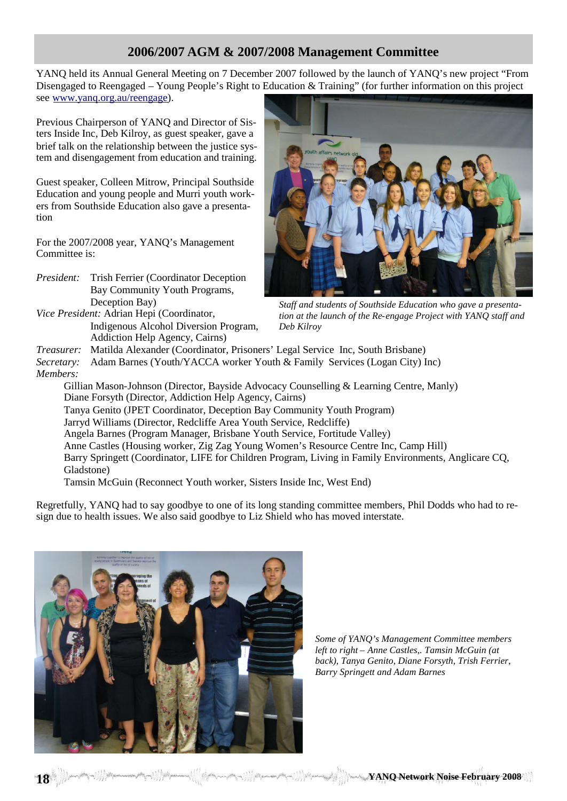## **2006/2007 AGM & 2007/2008 Management Committee**

YANQ held its Annual General Meeting on 7 December 2007 followed by the launch of YANQ's new project "From Disengaged to Reengaged – Young People's Right to Education & Training" (for further information on this project see www.yanq.org.au/reengage).

Previous Chairperson of YANQ and Director of Sisters Inside Inc, Deb Kilroy, as guest speaker, gave a brief talk on the relationship between the justice system and disengagement from education and training.

Guest speaker, Colleen Mitrow, Principal Southside Education and young people and Murri youth workers from Southside Education also gave a presentation

For the 2007/2008 year, YANQ's Management Committee is:

- *President:* Trish Ferrier (Coordinator Deception Bay Community Youth Programs, Deception Bay)
- *Vice President:* Adrian Hepi (Coordinator, Indigenous Alcohol Diversion Program, Addiction Help Agency, Cairns)



*Staff and students of Southside Education who gave a presentation at the launch of the Re-engage Project with YANQ staff and Deb Kilroy*

*Treasurer:* Matilda Alexander (Coordinator, Prisoners' Legal Service Inc, South Brisbane)

*Secretary:* Adam Barnes (Youth/YACCA worker Youth & Family Services (Logan City) Inc) *Members:*

Gillian Mason-Johnson (Director, Bayside Advocacy Counselling & Learning Centre, Manly) Diane Forsyth (Director, Addiction Help Agency, Cairns) Tanya Genito (JPET Coordinator, Deception Bay Community Youth Program) Jarryd Williams (Director, Redcliffe Area Youth Service, Redcliffe) Angela Barnes (Program Manager, Brisbane Youth Service, Fortitude Valley) Anne Castles (Housing worker, Zig Zag Young Women's Resource Centre Inc, Camp Hill) Barry Springett (Coordinator, LIFE for Children Program, Living in Family Environments, Anglicare CQ, Gladstone)

Tamsin McGuin (Reconnect Youth worker, Sisters Inside Inc, West End)

Regretfully, YANQ had to say goodbye to one of its long standing committee members, Phil Dodds who had to resign due to health issues. We also said goodbye to Liz Shield who has moved interstate.

**18 YANQ Network Noise February 2008**



*Some of YANQ's Management Committee members left to right – Anne Castles,. Tamsin McGuin (at back), Tanya Genito, Diane Forsyth, Trish Ferrier, Barry Springett and Adam Barnes*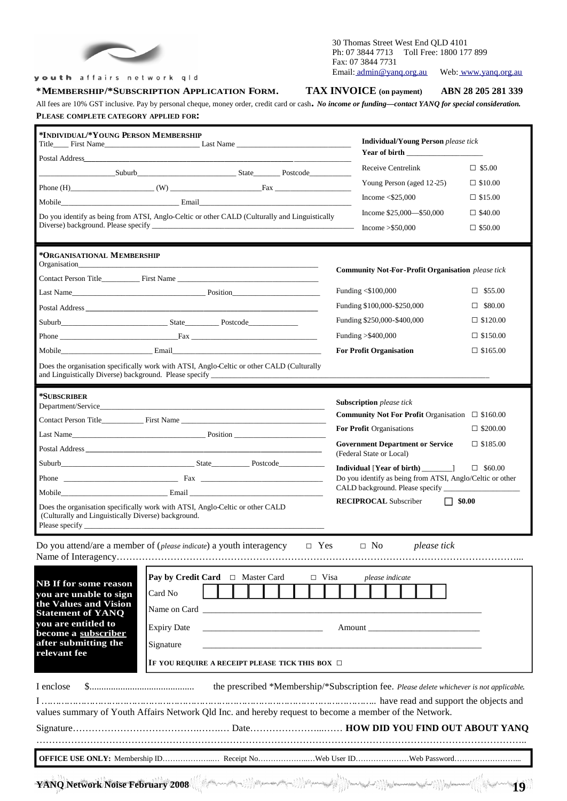

#### youth affairs network qld

#### **\*MEMBERSHIP/\*SUBSCRIPTION APPLICATION FORM. TAX INVOICE (on payment) ABN 28 205 281 339**

#### 30 Thomas Street West End QLD 4101 Ph: 07 3844 7713 Toll Free: 1800 177 899 Fax: 07 3844 7731 Email: admin@yanq.org.au Web: www.yanq.org.au

All fees are 10% GST inclusive. Pay by personal cheque, money order, credit card or cash**.** *No income or funding—contact YANQ for special consideration.* **PLEASE COMPLETE CATEGORY APPLIED FOR:**

| *INDIVIDUAL/*YOUNG PERSON MEMBERSHIP                                                                                                                                           |                                                                                         | <b>Individual/Young Person</b> please tick<br>Year of birth |                                                           |                                                              |  |
|--------------------------------------------------------------------------------------------------------------------------------------------------------------------------------|-----------------------------------------------------------------------------------------|-------------------------------------------------------------|-----------------------------------------------------------|--------------------------------------------------------------|--|
|                                                                                                                                                                                |                                                                                         |                                                             |                                                           |                                                              |  |
|                                                                                                                                                                                |                                                                                         |                                                             | Receive Centrelink                                        | $\Box$ \$5.00                                                |  |
|                                                                                                                                                                                |                                                                                         |                                                             | Young Person (aged 12-25)                                 | $\Box$ \$10.00                                               |  |
|                                                                                                                                                                                |                                                                                         |                                                             | Income $<$ \$25,000                                       | $\Box$ \$15.00                                               |  |
| Do you identify as being from ATSI, Anglo-Celtic or other CALD (Culturally and Linguistically                                                                                  |                                                                                         | Income $$25,000$ - $$50,000$                                | $\Box$ \$40.00                                            |                                                              |  |
|                                                                                                                                                                                |                                                                                         |                                                             | Income $>$ \$50,000                                       | $\Box$ \$50.00                                               |  |
|                                                                                                                                                                                |                                                                                         |                                                             |                                                           |                                                              |  |
| *ORGANISATIONAL MEMBERSHIP<br>Organisation                                                                                                                                     |                                                                                         |                                                             |                                                           |                                                              |  |
|                                                                                                                                                                                |                                                                                         |                                                             | <b>Community Not-For-Profit Organisation</b> please tick  |                                                              |  |
|                                                                                                                                                                                | <b>Last Name</b> Position Position                                                      |                                                             | Funding <\$100,000                                        | $\square$ \$55.00                                            |  |
|                                                                                                                                                                                |                                                                                         |                                                             | Funding \$100,000-\$250,000<br>$\Box$ \$80.00             |                                                              |  |
|                                                                                                                                                                                |                                                                                         |                                                             | Funding \$250,000-\$400,000<br>$\Box$ \$120.00            |                                                              |  |
|                                                                                                                                                                                |                                                                                         | Funding > \$400,000                                         |                                                           | $\Box$ \$150.00                                              |  |
|                                                                                                                                                                                |                                                                                         |                                                             | <b>For Profit Organisation</b><br>$\Box$ \$165.00         |                                                              |  |
| Does the organisation specifically work with ATSI, Anglo-Celtic or other CALD (Culturally<br>and Linguistically Diverse) background. Please specify __________________________ |                                                                                         |                                                             |                                                           |                                                              |  |
|                                                                                                                                                                                |                                                                                         |                                                             |                                                           |                                                              |  |
| *SUBSCRIBER                                                                                                                                                                    |                                                                                         |                                                             | <b>Subscription</b> please tick                           |                                                              |  |
|                                                                                                                                                                                |                                                                                         |                                                             |                                                           | <b>Community Not For Profit Organisation</b> $\Box$ \$160.00 |  |
|                                                                                                                                                                                |                                                                                         |                                                             | For Profit Organisations                                  | $\Box$ \$200.00                                              |  |
|                                                                                                                                                                                | Last Name                                                                               |                                                             | <b>Government Department or Service</b>                   | $\Box$ \$185.00                                              |  |
|                                                                                                                                                                                |                                                                                         |                                                             | (Federal State or Local)                                  |                                                              |  |
|                                                                                                                                                                                |                                                                                         |                                                             |                                                           | $\Box$ \$60.00                                               |  |
|                                                                                                                                                                                |                                                                                         |                                                             | Do you identify as being from ATSI, Anglo/Celtic or other |                                                              |  |
| Does the organisation specifically work with ATSI, Anglo-Celtic or other CALD                                                                                                  |                                                                                         |                                                             | <b>RECIPROCAL</b> Subscriber<br>$\Box$ \$0.00             |                                                              |  |
| (Culturally and Linguistically Diverse) background.                                                                                                                            |                                                                                         |                                                             |                                                           |                                                              |  |
|                                                                                                                                                                                |                                                                                         |                                                             |                                                           |                                                              |  |
|                                                                                                                                                                                | Do you attend/are a member of ( <i>please indicate</i> ) a youth interagency $\Box$ Yes |                                                             | $\Box$ No<br>please tick                                  |                                                              |  |
|                                                                                                                                                                                |                                                                                         |                                                             |                                                           |                                                              |  |
| <b>NB If for some reason</b>                                                                                                                                                   | Pay by Credit Card □ Master Card                                                        | $\Box$ Visa                                                 | please indicate                                           |                                                              |  |
| you are unable to sign                                                                                                                                                         | Card No                                                                                 |                                                             |                                                           |                                                              |  |
| the Values and Vision                                                                                                                                                          | Name on Card                                                                            |                                                             |                                                           |                                                              |  |
| <b>Statement of YANQ</b><br>you are entitled to                                                                                                                                | <b>Expiry Date</b>                                                                      |                                                             |                                                           |                                                              |  |
| become a subscriber<br>after submitting the                                                                                                                                    | Amount                                                                                  |                                                             |                                                           |                                                              |  |
| Signature<br>relevant fee                                                                                                                                                      |                                                                                         |                                                             |                                                           |                                                              |  |
|                                                                                                                                                                                | IF YOU REQUIRE A RECEIPT PLEASE TICK THIS BOX $\Box$                                    |                                                             |                                                           |                                                              |  |
| I enclose                                                                                                                                                                      |                                                                                         |                                                             |                                                           |                                                              |  |
| manufactured and support the objects and                                                                                                                                       |                                                                                         |                                                             |                                                           |                                                              |  |
| values summary of Youth Affairs Network Qld Inc. and hereby request to become a member of the Network.                                                                         |                                                                                         |                                                             |                                                           |                                                              |  |
|                                                                                                                                                                                |                                                                                         |                                                             |                                                           |                                                              |  |
|                                                                                                                                                                                |                                                                                         |                                                             |                                                           |                                                              |  |
|                                                                                                                                                                                |                                                                                         |                                                             |                                                           |                                                              |  |
|                                                                                                                                                                                |                                                                                         |                                                             |                                                           |                                                              |  |
|                                                                                                                                                                                |                                                                                         |                                                             |                                                           |                                                              |  |